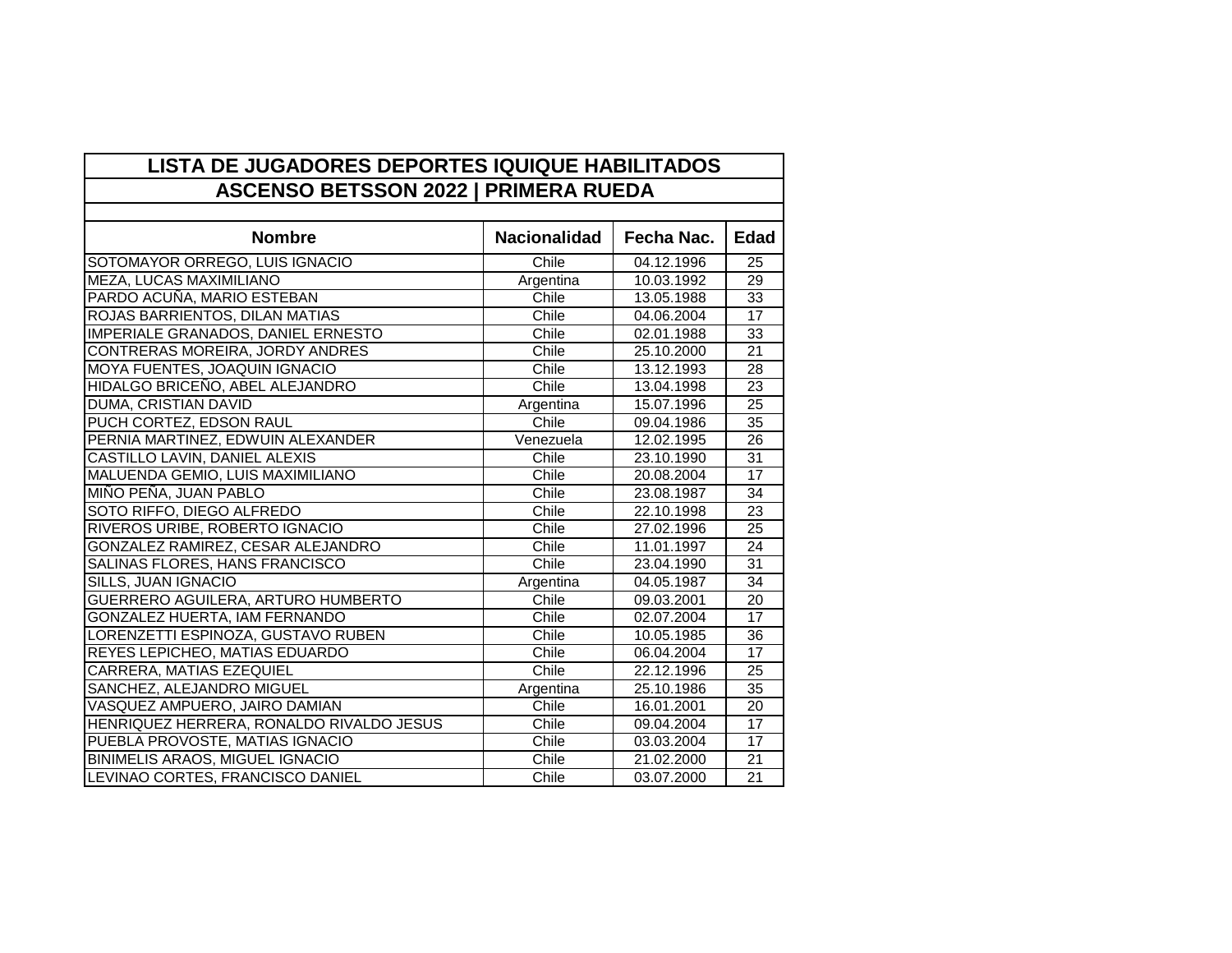| <b>ASCENSO BETSSON 2022   PRIMERA RUEDA</b> |                     |            |                 |  |
|---------------------------------------------|---------------------|------------|-----------------|--|
|                                             |                     |            |                 |  |
| <b>Nombre</b>                               | <b>Nacionalidad</b> | Fecha Nac. | <b>Edad</b>     |  |
| SOTOMAYOR ORREGO, LUIS IGNACIO              | Chile               | 04.12.1996 | $\overline{25}$ |  |
| MEZA, LUCAS MAXIMILIANO                     | Argentina           | 10.03.1992 | 29              |  |
| PARDO ACUÑA, MARIO ESTEBAN                  | Chile               | 13.05.1988 | $\overline{33}$ |  |
| ROJAS BARRIENTOS, DILAN MATIAS              | Chile               | 04.06.2004 | 17              |  |
| <b>IMPERIALE GRANADOS, DANIEL ERNESTO</b>   | Chile               | 02.01.1988 | 33              |  |
| CONTRERAS MOREIRA, JORDY ANDRES             | Chile               | 25.10.2000 | 21              |  |
| MOYA FUENTES, JOAQUIN IGNACIO               | Chile               | 13.12.1993 | 28              |  |
| HIDALGO BRICEÑO, ABEL ALEJANDRO             | Chile               | 13.04.1998 | 23              |  |
| DUMA, CRISTIAN DAVID                        | Argentina           | 15.07.1996 | 25              |  |
| PUCH CORTEZ, EDSON RAUL                     | Chile               | 09.04.1986 | 35              |  |
| PERNIA MARTINEZ, EDWUIN ALEXANDER           | Venezuela           | 12.02.1995 | 26              |  |
| CASTILLO LAVIN, DANIEL ALEXIS               | Chile               | 23.10.1990 | $\overline{31}$ |  |
| MALUENDA GEMIO, LUIS MAXIMILIANO            | Chile               | 20.08.2004 | $\overline{17}$ |  |
| MIÑO PEÑA, JUAN PABLO                       | Chile               | 23.08.1987 | $\overline{34}$ |  |
| SOTO RIFFO, DIEGO ALFREDO                   | Chile               | 22.10.1998 | 23              |  |
| RIVEROS URIBE, ROBERTO IGNACIO              | Chile               | 27.02.1996 | 25              |  |
| GONZALEZ RAMIREZ, CESAR ALEJANDRO           | Chile               | 11.01.1997 | 24              |  |
| SALINAS FLORES, HANS FRANCISCO              | Chile               | 23.04.1990 | $\overline{31}$ |  |
| SILLS, JUAN IGNACIO                         | Argentina           | 04.05.1987 | $\overline{34}$ |  |
| GUERRERO AGUILERA, ARTURO HUMBERTO          | Chile               | 09.03.2001 | 20              |  |
| GONZALEZ HUERTA, IAM FERNANDO               | Chile               | 02.07.2004 | 17              |  |
| LORENZETTI ESPINOZA, GUSTAVO RUBEN          | Chile               | 10.05.1985 | 36              |  |
| REYES LEPICHEO, MATIAS EDUARDO              | Chile               | 06.04.2004 | 17              |  |
| CARRERA, MATIAS EZEQUIEL                    | Chile               | 22.12.1996 | $\overline{25}$ |  |
| <b>SANCHEZ, ALEJANDRO MIGUEL</b>            | Argentina           | 25.10.1986 | 35              |  |
| VASQUEZ AMPUERO, JAIRO DAMIAN               | Chile               | 16.01.2001 | 20              |  |
| HENRIQUEZ HERRERA, RONALDO RIVALDO JESUS    | Chile               | 09.04.2004 | 17              |  |
| PUEBLA PROVOSTE, MATIAS IGNACIO             | Chile               | 03.03.2004 | 17              |  |
| <b>BINIMELIS ARAOS, MIGUEL IGNACIO</b>      | Chile               | 21.02.2000 | 21              |  |
| LEVINAO CORTES, FRANCISCO DANIEL            | Chile               | 03.07.2000 | $\overline{21}$ |  |

## **LISTA DE JUGADORES DEPORTES IQUIQUE HABILITADOS**

H

 $\Gamma$